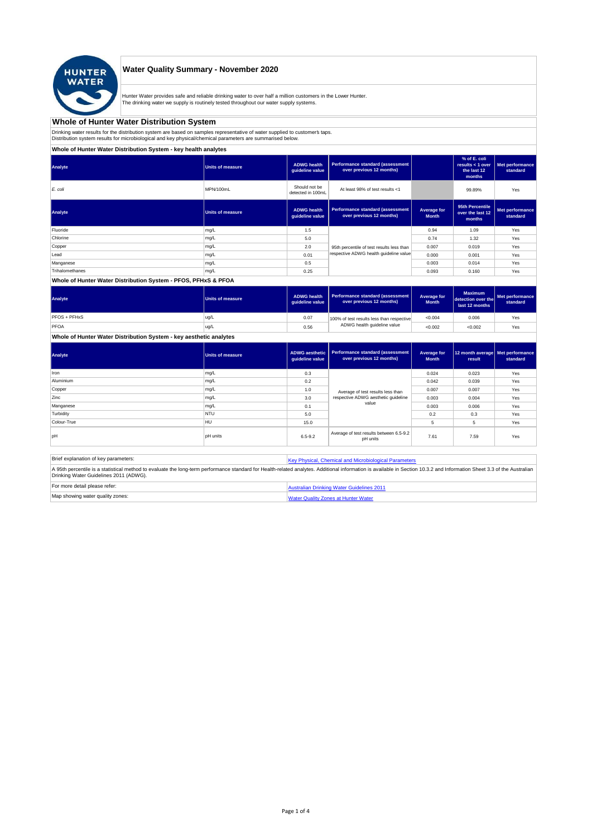

# **Water Quality Summary - November 2020**

Hunter Water provides safe and reliable drinking water to over half a million customers in the Lower Hunter. The drinking water we supply is routinely tested throughout our water supply systems.

# **Whole of Hunter Water Distribution System**

Drinking water results for the distribution system are based on samples representative of water supplied to customer' taps.<br>Distribution system results for microbiological and key physical/chemical parameters are summarise

# **Whole of Hunter Water Distribution System - key health analytes**

| Analyte         | <b>Units of measure</b> | <b>ADWG</b> health<br>guideline value | <b>Performance standard (assessment</b><br>over previous 12 months) |                             | % of E. coli<br>results < 1 over<br>the last 12<br>months | Met performance<br>standard |
|-----------------|-------------------------|---------------------------------------|---------------------------------------------------------------------|-----------------------------|-----------------------------------------------------------|-----------------------------|
| E. coli         | MPN/100mL               | Should not be<br>detected in 100mL    | At least 98% of test results <1                                     |                             | 99.89%                                                    | Yes                         |
| Analyte         | <b>Units of measure</b> | <b>ADWG</b> health<br>guideline value | Performance standard (assessment<br>over previous 12 months)        | Average for<br><b>Month</b> | 95th Percentile<br>over the last 12<br>months             | Met performance<br>standard |
| Fluoride        | mg/L                    | 1.5                                   |                                                                     | 0.94                        | 1.09                                                      | Yes                         |
| Chlorine        | mg/L                    | 5.0                                   |                                                                     | 0.74                        | 1.32                                                      | Yes                         |
| Copper          | mg/L                    | 2.0                                   | 95th percentile of test results less than                           | 0.007                       | 0.019                                                     | Yes                         |
| Lead            | mg/L                    | 0.01                                  | respective ADWG health quideline value                              | 0.000                       | 0.001                                                     | Yes                         |
| Manganese       | mg/L                    | 0.5                                   |                                                                     | 0.003                       | 0.014                                                     | Yes                         |
| Trihalomethanes | mg/L                    | 0.25                                  |                                                                     | 0.093                       | 0.160                                                     | Yes                         |
|                 |                         |                                       |                                                                     |                             |                                                           |                             |

### **Whole of Hunter Water Distribution System - PFOS, PFHxS & PFOA**

| Analyte      | <b>Units of measure</b> | <b>ADWG health</b><br>quideline value | Performance standard (assessment<br>over previous 12 months) | Average for<br><b>Month</b> | <b>Maximum</b><br>detection over the<br>last 12 months | Met performance<br>standard |
|--------------|-------------------------|---------------------------------------|--------------------------------------------------------------|-----------------------------|--------------------------------------------------------|-----------------------------|
| PFOS + PFHxS | ug/L                    | 0.07                                  | 100% of test results less than respective                    | < 0.004                     | 0.006                                                  | Yes                         |
| PFOA         | ug/L                    | 0.56                                  | ADWG health guideline value                                  | < 0.002                     | < 0.002                                                | Yes                         |

#### **Whole of Hunter Water Distribution System - key aesthetic analytes**

| Analyte     | Units of measure | ADWG aesthetic<br>guideline value | Performance standard (assessment<br>over previous 12 months)             | Average for<br><b>Month</b> | 12 month average   Met performance<br>result | standard |
|-------------|------------------|-----------------------------------|--------------------------------------------------------------------------|-----------------------------|----------------------------------------------|----------|
| Iron        | mg/L             | 0.3                               |                                                                          | 0.024                       | 0.023                                        | Yes      |
| Aluminium   | mg/L             | 0.2                               |                                                                          | 0.042                       | 0.039                                        | Yes      |
| Copper      | mg/L             | 1.0                               | Average of test results less than<br>respective ADWG aesthetic quideline | 0.007                       | 0.007                                        | Yes      |
| Zinc        | mg/L             | 3.0                               |                                                                          | 0.003                       | 0.004                                        | Yes      |
| Manganese   | mg/L             | 0.1                               | value                                                                    | 0.003                       | 0.006                                        | Yes      |
| Turbidity   | <b>NTU</b>       | 5.0                               |                                                                          | 0.2                         | 0.3                                          | Yes      |
| Colour-True | HU               | 15.0                              |                                                                          | 5                           | 5                                            | Yes      |
| pH          | <b>pH</b> units  | $6.5 - 9.2$                       | Average of test results between 6.5-9.2<br>pH units                      | 7.61                        | 7.59                                         | Yes      |

| Brief explanation of key parameters:   | Key Physical, Chemical and Microbiological Parameters                                                                                                                                                                   |
|----------------------------------------|-------------------------------------------------------------------------------------------------------------------------------------------------------------------------------------------------------------------------|
| Drinking Water Guidelines 2011 (ADWG). | A 95th percentile is a statistical method to evaluate the long-term performance standard for Health-related analytes. Additional information is available in Section 10.3.2 and Information Sheet 3.3 of the Australian |
| For more detail please refer:          | Australian Drinking Water Guidelines 2011                                                                                                                                                                               |
| Map showing water quality zones:       | <b>Water Quality Zones at Hunter Water</b>                                                                                                                                                                              |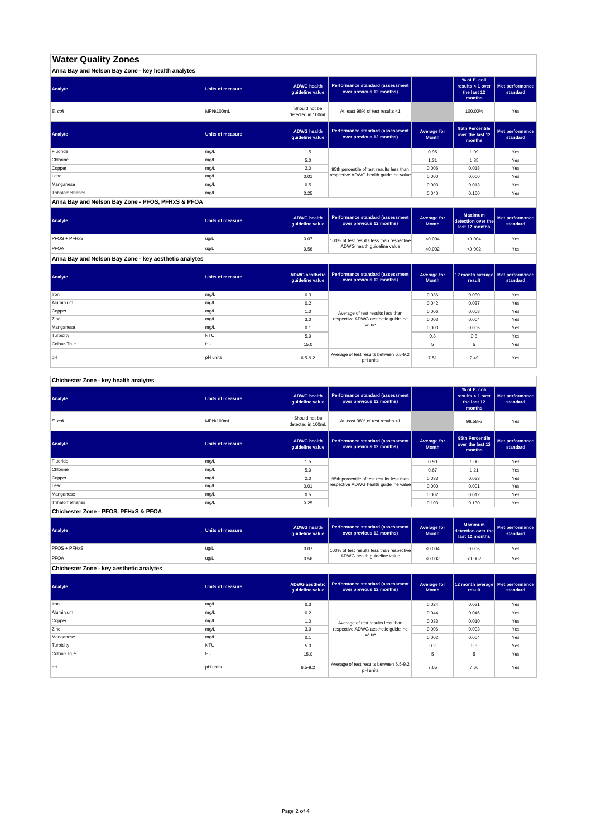# **Water Quality Zones**

| Anna Bay and Nelson Bay Zone - key health analytes |                         |                                       |                                                                     |                             |                                                           |                             |
|----------------------------------------------------|-------------------------|---------------------------------------|---------------------------------------------------------------------|-----------------------------|-----------------------------------------------------------|-----------------------------|
| Analyte                                            | Units of measure        | <b>ADWG health</b><br>quideline value | Performance standard (assessment<br>over previous 12 months)        |                             | % of E. coli<br>results < 1 over<br>the last 12<br>months | Met performance<br>standard |
| E. coli                                            | MPN/100mL               | Should not be<br>detected in 100mL    | At least 98% of test results <1                                     |                             | 100.00%                                                   | Yes                         |
| Analyte                                            | <b>Units of measure</b> | <b>ADWG health</b><br>quideline value | <b>Performance standard (assessment</b><br>over previous 12 months) | Average for<br><b>Month</b> | 95th Percentile<br>over the last 12<br>months             | Met performance<br>standard |
| Fluoride                                           | mg/L                    | 1.5                                   |                                                                     | 0.95                        | 1.09                                                      | Yes                         |
| Chlorine                                           | mg/L                    | 5.0                                   |                                                                     | 1.31                        | 1.85                                                      | Yes                         |
| Copper                                             | mg/L                    | 2.0                                   | 95th percentile of test results less than                           | 0.006                       | 0.018                                                     | Yes                         |
| Lead                                               | mg/L                    | 0.01                                  | respective ADWG health guideline value                              | 0.000                       | 0.000                                                     | Yes                         |
| Manganese                                          | mg/L                    | 0.5                                   |                                                                     | 0.003                       | 0.013                                                     | Yes                         |
| Trihalomethanes                                    | mg/L                    | 0.25                                  |                                                                     | 0.040                       | 0.100                                                     | Yes                         |

**Anna Bay and Nelson Bay Zone - PFOS, PFHxS & PFOA**

| Units of measure | <b>ADWG health</b> | over previous 12 months)    | Average for<br><b>Month</b> | <b>Maximum</b><br>last 12 months                                              | Met performance<br>standard |
|------------------|--------------------|-----------------------------|-----------------------------|-------------------------------------------------------------------------------|-----------------------------|
| ug/L             | 0.07               |                             | < 0.004                     | < 0.004                                                                       | Yes                         |
| ug/L             | 0.56               | ADWG health guideline value | < 0.002                     | < 0.002                                                                       | Yes                         |
|                  |                    |                             | quideline value             | Performance standard (assessment<br>100% of test results less than respective | detection over the          |

**Anna Bay and Nelson Bay Zone - key aesthetic analytes**

| Analyte     | Units of measure | ADWG aesthetic<br>guideline value | <b>Performance standard (assessment</b><br>over previous 12 months) | Average for<br><b>Month</b> | 12 month average   Met performance<br>result | standard |
|-------------|------------------|-----------------------------------|---------------------------------------------------------------------|-----------------------------|----------------------------------------------|----------|
| Iron        | mg/L             | 0.3                               |                                                                     | 0.036                       | 0.030                                        | Yes      |
| Aluminium   | mg/L             | 0.2                               |                                                                     | 0.042                       | 0.037                                        | Yes      |
| Copper      | mg/L             | 1.0                               | Average of test results less than                                   | 0.006                       | 0.008                                        | Yes      |
| Zinc        | mg/L             | 3.0                               | respective ADWG aesthetic quideline                                 | 0.003                       | 0.004                                        | Yes      |
| Manganese   | mg/L             | 0.1                               | value                                                               | 0.003                       | 0.006                                        | Yes      |
| Turbidity   | <b>NTU</b>       | 5.0                               |                                                                     | 0.3                         | 0.3                                          | Yes      |
| Colour-True | <b>HU</b>        | 15.0                              |                                                                     | 5                           | 5                                            | Yes      |
| pH          | pH units         | $6.5 - 9.2$                       | Average of test results between 6.5-9.2<br>pH units                 | 7.51                        | 7.49                                         | Yes      |

**Chichester Zone - key health analytes**

| Analyte         | Units of measure | <b>ADWG</b> health<br>guideline value | Performance standard (assessment<br>over previous 12 months) |                             | % of E. coli<br>results $<$ 1 over<br>the last 12<br>months | Met performance<br>standard |
|-----------------|------------------|---------------------------------------|--------------------------------------------------------------|-----------------------------|-------------------------------------------------------------|-----------------------------|
| E. coli         | MPN/100mL        | Should not be<br>detected in 100mL    | At least 98% of test results <1                              |                             | 99.58%                                                      | Yes                         |
| Analyte         | Units of measure | <b>ADWG</b> health<br>guideline value | Performance standard (assessment<br>over previous 12 months) | Average for<br><b>Month</b> | 95th Percentile<br>over the last 12<br>months               | Met performance<br>standard |
| Fluoride        | mg/L             | 1.5                                   |                                                              | 0.90                        | 1.00                                                        | Yes                         |
| Chlorine        | mg/L             | 5.0                                   |                                                              | 0.67                        | 1.21                                                        | Yes                         |
| Copper          | mg/L             | 2.0                                   | 95th percentile of test results less than                    | 0.033                       | 0.033                                                       | Yes                         |
| Lead            | mg/L             | 0.01                                  | respective ADWG health quideline value                       | 0.000                       | 0.001                                                       | Yes                         |
| Manganese       | mg/L             | 0.5                                   |                                                              | 0.002                       | 0.012                                                       | Yes                         |
| Trihalomethanes | mg/L             | 0.25                                  |                                                              | 0.103                       | 0.130                                                       | Yes                         |
|                 |                  |                                       |                                                              |                             |                                                             |                             |

**Chichester Zone - PFOS, PFHxS & PFOA**

| Analyte      | Units of measure | <b>ADWG health</b><br>quideline value | Performance standard (assessment  <br>over previous 12 months) | Average for<br><b>Month</b> | <b>Maximum</b><br>detection over the<br>last 12 months | Met performance<br>standard |
|--------------|------------------|---------------------------------------|----------------------------------------------------------------|-----------------------------|--------------------------------------------------------|-----------------------------|
| PFOS + PFHxS | lug/L            | 0.07                                  | 100% of test results less than respective                      | < 0.004                     | 0.006                                                  | Yes                         |
| PFOA         | ug/L             | 0.56                                  | ADWG health guideline value                                    | < 0.002                     | < 0.002                                                | Yes                         |

**Chichester Zone - key aesthetic analytes**

| Analyte     | <b>Units of measure</b> | ADWG aesthetic<br>guideline value | Performance standard (assessment<br>over previous 12 months) | Average for<br><b>Month</b> | 12 month average   Met performance<br>result | standard |
|-------------|-------------------------|-----------------------------------|--------------------------------------------------------------|-----------------------------|----------------------------------------------|----------|
| Iron        | mg/L                    | 0.3                               |                                                              | 0.024                       | 0.021                                        | Yes      |
| Aluminium   | mg/L                    | 0.2                               |                                                              | 0.044                       | 0.046                                        | Yes      |
| Copper      | mg/L                    | 1.0                               | Average of test results less than                            | 0.033                       | 0.010                                        | Yes      |
| Zinc        | mg/L                    | 3.0                               | respective ADWG aesthetic quideline                          | 0.006                       | 0.003                                        | Yes      |
| Manganese   | mg/L                    | 0.1                               | value                                                        | 0.002                       | 0.004                                        | Yes      |
| Turbidity   | <b>NTU</b>              | 5.0                               |                                                              | 0.2                         | 0.3                                          | Yes      |
| Colour-True | HU                      | 15.0                              |                                                              | 5                           | 5                                            | Yes      |
| pH          | pH units                | $6.5 - 9.2$                       | Average of test results between 6.5-9.2<br>pH units          | 7.65                        | 7.66                                         | Yes      |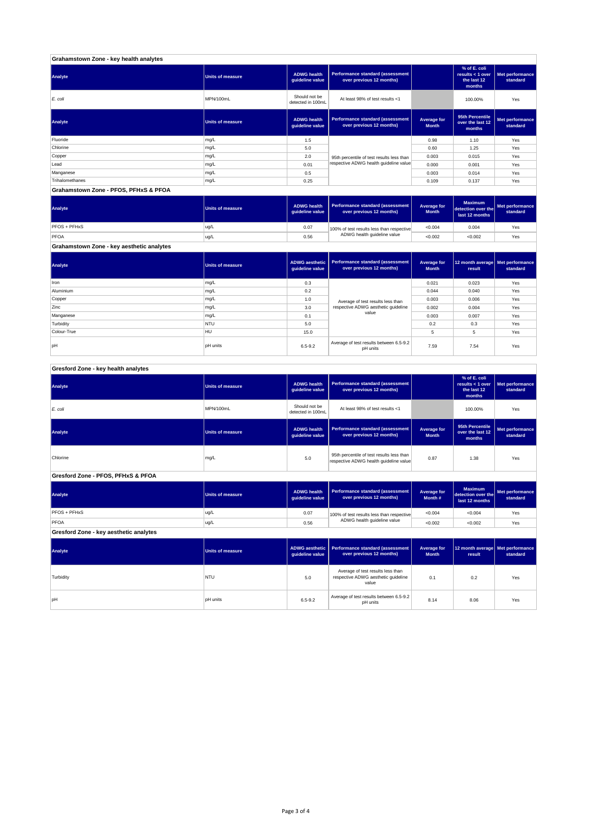| Grahamstown Zone - key health analytes |                         |                                       |                                                              |                             |                                                           |                             |
|----------------------------------------|-------------------------|---------------------------------------|--------------------------------------------------------------|-----------------------------|-----------------------------------------------------------|-----------------------------|
| Analyte                                | <b>Units of measure</b> | <b>ADWG health</b><br>guideline value | Performance standard (assessment<br>over previous 12 months) |                             | % of E. coli<br>results < 1 over<br>the last 12<br>months | Met performance<br>standard |
| E. coli                                | MPN/100mL               | Should not be<br>detected in 100mL    | At least 98% of test results <1                              |                             | 100.00%                                                   | Yes                         |
| Analyte                                | <b>Units of measure</b> | <b>ADWG health</b><br>guideline value | Performance standard (assessment<br>over previous 12 months) | Average for<br><b>Month</b> | 95th Percentile<br>over the last 12<br>months             | Met performance<br>standard |
| Fluoride                               | mg/L                    | 1.5                                   |                                                              | 0.98                        | 1.10                                                      | Yes                         |
| Chlorine                               | mg/L                    | 5.0                                   |                                                              | 0.60                        | 1.25                                                      | Yes                         |
| Copper                                 | mg/L                    | 2.0                                   | 95th percentile of test results less than                    | 0.003                       | 0.015                                                     | Yes                         |
| Lead                                   | mg/L                    | 0.01                                  | respective ADWG health guideline value                       | 0.000                       | 0.001                                                     | Yes                         |
| Manganese                              | mg/L                    | 0.5                                   |                                                              | 0.003                       | 0.014                                                     | Yes                         |
| Trihalomethanes                        | mg/L                    | 0.25                                  |                                                              | 0.109                       | 0.137                                                     | Yes                         |
| Grahamstown Zone - PFOS, PFHxS & PFOA  |                         |                                       |                                                              |                             |                                                           |                             |

| Analyte      | <b>Units of measure</b> | <b>ADWG health</b><br>quideline value | Performance standard (assessment<br>over previous 12 months)             | Average for<br><b>Month</b> | <b>Maximum</b><br>detection over the<br>last 12 months | Met performance<br>standard |
|--------------|-------------------------|---------------------------------------|--------------------------------------------------------------------------|-----------------------------|--------------------------------------------------------|-----------------------------|
| PFOS + PFHxS | ug/L                    | 0.07                                  | 100% of test results less than respective<br>ADWG health guideline value | < 0.004                     | 0.004                                                  | Yes                         |
| <b>PFOA</b>  | ug/L                    | 0.56                                  |                                                                          | < 0.002                     | < 0.002                                                | Yes                         |

**Grahamstown Zone - key aesthetic analytes**

| Analyte     | Units of measure | ADWG aesthetic  <br>guideline value | <b>Performance standard (assessment</b><br>over previous 12 months) | Average for<br><b>Month</b> | 12 month average   Met performance<br>result | standard |
|-------------|------------------|-------------------------------------|---------------------------------------------------------------------|-----------------------------|----------------------------------------------|----------|
| Iron        | mg/L             | 0.3                                 |                                                                     | 0.021                       | 0.023                                        | Yes      |
| Aluminium   | mg/L             | 0.2                                 |                                                                     | 0.044                       | 0.040                                        | Yes      |
| Copper      | mg/L             | 1.0                                 | Average of test results less than                                   | 0.003                       | 0.006                                        | Yes      |
| Zinc        | mg/L             | 3.0                                 | respective ADWG aesthetic quideline                                 | 0.002                       | 0.004                                        | Yes      |
| Manganese   | mg/L             | 0.1                                 | value                                                               | 0.003                       | 0.007                                        | Yes      |
| Turbidity   | <b>NTU</b>       | 5.0                                 |                                                                     | 0.2                         | 0.3                                          | Yes      |
| Colour-True | HU               | 15.0                                |                                                                     |                             | 5                                            | Yes      |
| lpH         | <b>pH</b> units  | $6.5 - 9.2$                         | Average of test results between 6.5-9.2<br>pH units                 | 7.59                        | 7.54                                         | Yes      |

j

### **Gresford Zone - key health analytes**

| Analyte                                | <b>Units of measure</b> | <b>ADWG health</b><br>guideline value                                                                        | Performance standard (assessment<br>over previous 12 months)                      |                                    | % of E. coli<br>results < 1 over<br>the last 12<br>months | Met performance<br>standard |
|----------------------------------------|-------------------------|--------------------------------------------------------------------------------------------------------------|-----------------------------------------------------------------------------------|------------------------------------|-----------------------------------------------------------|-----------------------------|
| E. coli                                | MPN/100mL               | Should not be<br>detected in 100mL                                                                           | At least 98% of test results <1                                                   |                                    | 100.00%                                                   | Yes                         |
| Analyte                                | <b>Units of measure</b> | <b>ADWG health</b><br>guideline value                                                                        | <b>Performance standard (assessment</b><br>over previous 12 months)               | <b>Average for</b><br><b>Month</b> | 95th Percentile<br>over the last 12<br>months             | Met performance<br>standard |
| Chlorine                               | mg/L                    | 95th percentile of test results less than<br>5.0<br>respective ADWG health guideline value                   |                                                                                   | 0.87                               | 1.38                                                      | Yes                         |
| Gresford Zone - PFOS, PFHxS & PFOA     |                         |                                                                                                              |                                                                                   |                                    |                                                           |                             |
| Analyte                                | <b>Units of measure</b> | <b>Performance standard (assessment</b><br><b>ADWG health</b><br>over previous 12 months)<br>guideline value |                                                                                   | Average for<br>Month #             | <b>Maximum</b><br>detection over the<br>last 12 months    | Met performance<br>standard |
| PFOS + PFHxS                           | ug/L                    | 0.07                                                                                                         | 100% of test results less than respective                                         | < 0.004                            | < 0.004                                                   | Yes                         |
| PFOA                                   | ug/L                    | 0.56                                                                                                         | ADWG health guideline value                                                       | < 0.002                            | < 0.002                                                   | Yes                         |
| Gresford Zone - key aesthetic analytes |                         |                                                                                                              |                                                                                   |                                    |                                                           |                             |
| Analyte                                | <b>Units of measure</b> | <b>ADWG</b> aesthetic<br>guideline value                                                                     | <b>Performance standard (assessment</b><br>over previous 12 months)               |                                    | 12 month average<br>result                                | Met performance<br>standard |
| Turbidity                              | NTU                     | 5.0                                                                                                          | Average of test results less than<br>respective ADWG aesthetic quideline<br>value | 0.1                                | 0.2                                                       | Yes                         |
|                                        |                         |                                                                                                              |                                                                                   |                                    |                                                           |                             |